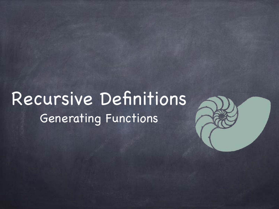### Recursive Definitions Generating Functions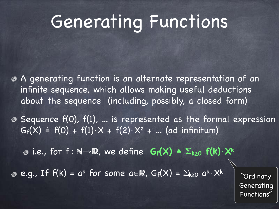# Generating Functions

- A generating function is an alternate representation of an infinite sequence, which allows making useful deductions about the sequence (including, possibly, a closed form)
- $\bullet$  Sequence  $f(0)$ ,  $f(1)$ , ... is represented as the formal expression  $G_f(X) = f(0) + f(1) \cdot X + f(2) \cdot X^2 + ...$  (ad infinitum)

i.e., for f : N→R, we define **Gf(X)** ≜ **Σk≥0 f(k)**⋅**X<sup>k</sup>**

**e.g., If f(k) = ak for some a∈R, Gf(X) =**  $\Sigma_{k\geq0}$  ak $\cdot$ Xk

"Ordinary Generating Functions"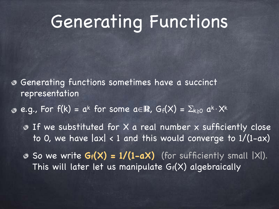## Generating Functions

- Generating functions sometimes have a succinct representation
- **e.g., For f(k) = ak for some a∈R,**  $G_f(X) = \sum_{k\geq 0} a^k \cdot X^k$ 
	- If we substituted for X a real number x sufficiently close to 0, we have  $|ax| < 1$  and this would converge to  $1/(1-ax)$
	- $\bullet$  So we write  $G_f(X) = 1/(1-aX)$  (for sufficiently small  $|X|$ ). This will later let us manipulate Gf(X) algebraically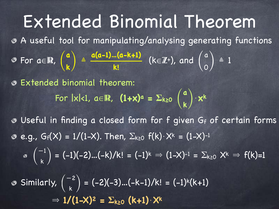Extended Binomial Theorem A useful tool for manipulating/analysing generating functions For a∈R,  $\binom{a}{\cdot}$   $\triangleq$   $\frac{a(a-1)...(a-k+1)}{n}$  (k∈Z+), and  $\binom{a}{\cdot}$   $\triangleq$  1 Extended binomial theorem:  $For |x| < 1, a \in \mathbb{R}$ ,  $(1+x)^a = \sum_{k \ge 0} {a \choose k} \cdot x^k$ Useful in finding a closed form for f given Gf of certain forms • e.g.,  $G_f(X) = 1/(1-X)$ . Then,  $\Sigma_{k \ge 0}$   $f(k) \cdot X^k = (1-X)^{-1}$  $\overline{\mathcal{L}}$ **a k**) **a(a-1)…(a-k+1) k!** ( $N \in \mathbb{Z}$ ), and a 0)  $\sqrt{2}$ **a k**)

 $= (-1)(-2)...(-k)/k! = (-1)^k \Rightarrow (1-X)^{-1} = \sum_{k\geq 0} X^k \Rightarrow f(k)=1$  $\sqrt{2}$ −1 k )

Similarly,  $\begin{pmatrix} -2 \\ 1 \end{pmatrix} = (-2)(-3)...(-k-1)/k! = (-1)^k(k+1)$  $\Rightarrow$  1/(1-X)<sup>2</sup> =  $\Sigma_{k\geq0}$  (k+1) $\cdot$ X<sup>k</sup>  $\overline{\mathcal{L}}$ −2 k )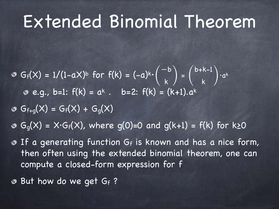### Extended Binomial Theorem

 $G_f(X) = 1/(1-aX)^b$  for  $f(k) = (-a)^k \cdot \begin{pmatrix} 1 & 1 \ 1 & 1 \end{pmatrix}$   $\cdot$   $a^k$ **e.g., b=1:**  $f(k) = a^k$ . **b=2:**  $f(k) = (k+1).a^k$  $\overline{\mathcal{L}}$  $-\mathsf{b}$ k  $\left/ \frac{1}{\pi}\right/$ b+k-1 k )

 $G_{f+q}(X) = G_f(X) + G_q(X)$ 

 $G_{q}(X) = X \cdot G_{f}(X)$ , where  $q(0)=0$  and  $q(k+1) = f(k)$  for k>0

- $\bullet$  If a generating function Gf is known and has a nice form, then often using the extended binomial theorem, one can compute a closed-form expression for f
- **But how do we get Gf?**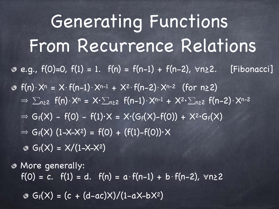$e.g., f(0)=0, f(1) = 1. f(n) = f(n-1) + f(n-2), \forall n \ge 2.$  [Fibonacci]  $f(n)$ ⋅X<sup>n</sup> = X⋅f(n-1)⋅X<sup>n-1</sup> + X<sup>2</sup>⋅f(n-2)⋅X<sup>n-2</sup> (for n≥2)  $\Rightarrow \sum_{n\geq 2} f(n) \cdot X^n = X \cdot \sum_{n\geq 2} f(n-1) \cdot X^{n-1} + X^{2} \cdot \sum_{n\geq 2} f(n-2) \cdot X^{n-2}$  $\Rightarrow$  G<sub>f</sub>(X) - f(0) - f(1)·X = X·(G<sub>f</sub>(X)-f(0)) + X<sup>2</sup>·G<sub>f</sub>(X)  $\Rightarrow G_f(X) (1-X-X^2) = f(0) + (f(1)-f(0)) \cdot X$  $G_f(X) = X/(1-X-X^2)$ Generating Functions From Recurrence Relations

More generally:  $f(0) = c$ .  $f(1) = d$ .  $f(n) = a \cdot f(n-1) + b \cdot f(n-2)$ ,  $\forall n \ge 2$ 

 $G_f(X) = (c + (d-ac)X)/(1-aX-bX^2)$